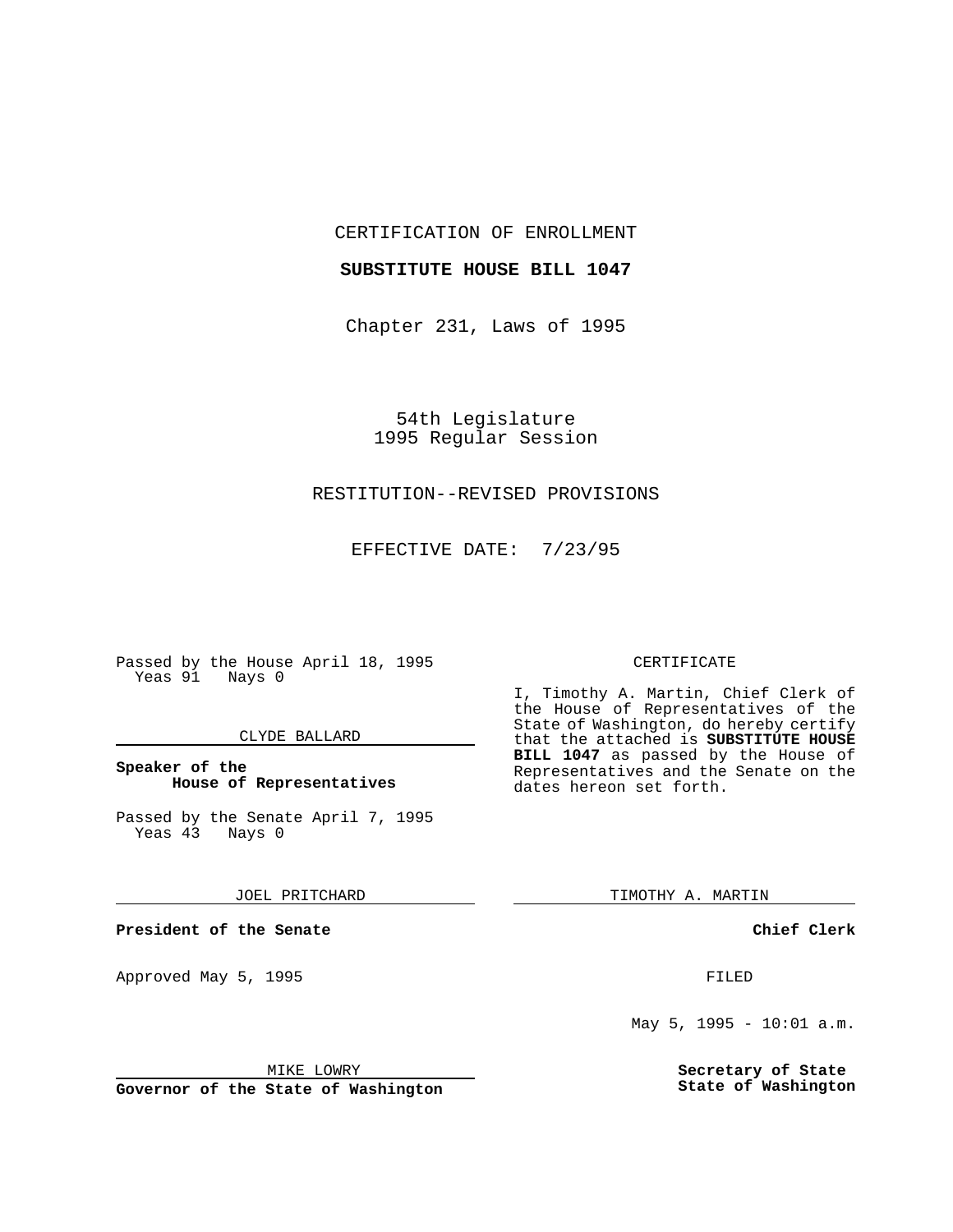CERTIFICATION OF ENROLLMENT

## **SUBSTITUTE HOUSE BILL 1047**

Chapter 231, Laws of 1995

54th Legislature 1995 Regular Session

# RESTITUTION--REVISED PROVISIONS

EFFECTIVE DATE: 7/23/95

Passed by the House April 18, 1995 Yeas 91 Nays 0

### CLYDE BALLARD

## **Speaker of the House of Representatives**

Passed by the Senate April 7, 1995<br>Yeas 43 Nays 0 Yeas 43

#### JOEL PRITCHARD

**President of the Senate**

Approved May 5, 1995 **FILED** 

#### MIKE LOWRY

**Governor of the State of Washington**

#### CERTIFICATE

I, Timothy A. Martin, Chief Clerk of the House of Representatives of the State of Washington, do hereby certify that the attached is **SUBSTITUTE HOUSE BILL 1047** as passed by the House of Representatives and the Senate on the dates hereon set forth.

TIMOTHY A. MARTIN

### **Chief Clerk**

May 5, 1995 - 10:01 a.m.

**Secretary of State State of Washington**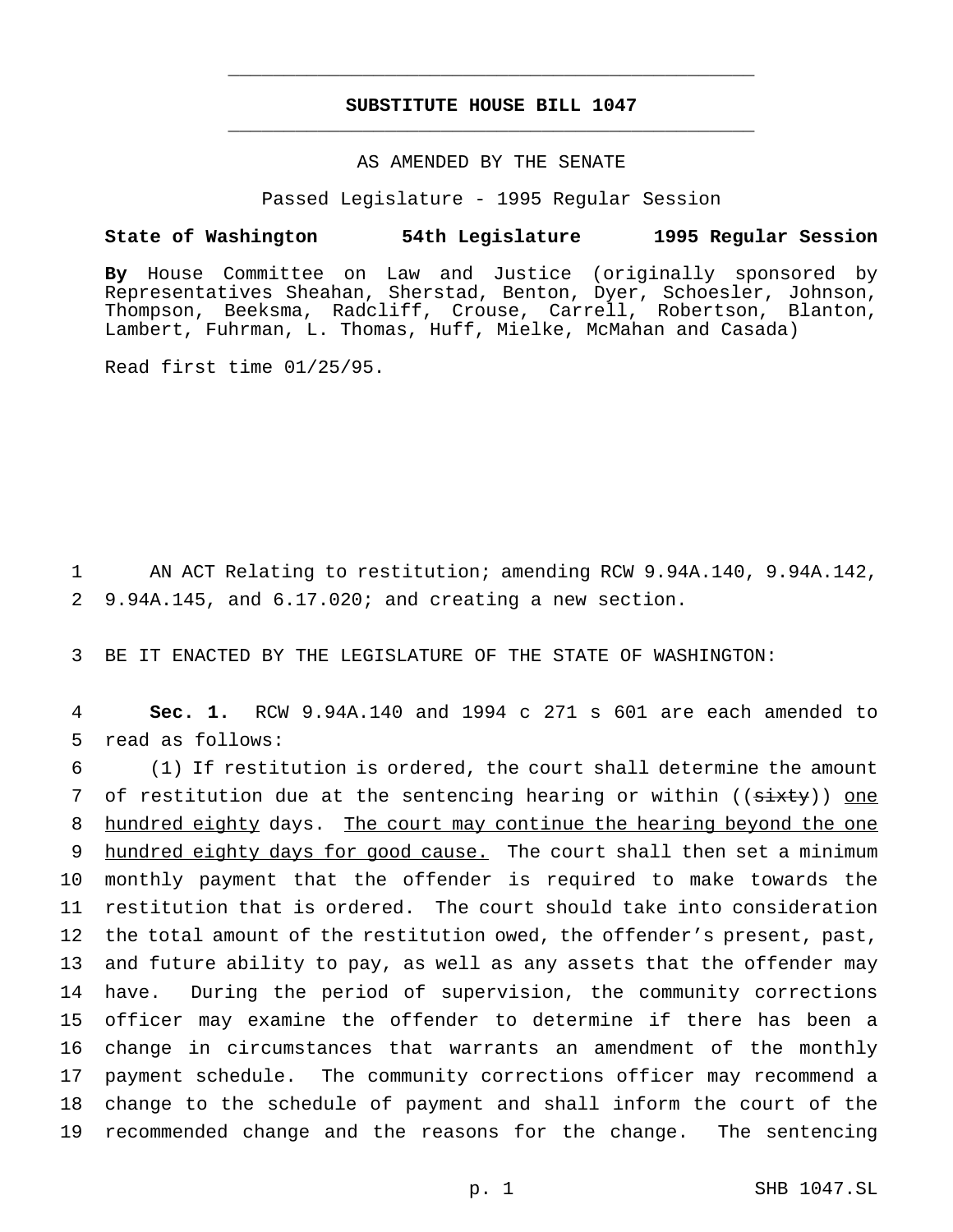# **SUBSTITUTE HOUSE BILL 1047** \_\_\_\_\_\_\_\_\_\_\_\_\_\_\_\_\_\_\_\_\_\_\_\_\_\_\_\_\_\_\_\_\_\_\_\_\_\_\_\_\_\_\_\_\_\_\_

\_\_\_\_\_\_\_\_\_\_\_\_\_\_\_\_\_\_\_\_\_\_\_\_\_\_\_\_\_\_\_\_\_\_\_\_\_\_\_\_\_\_\_\_\_\_\_

## AS AMENDED BY THE SENATE

Passed Legislature - 1995 Regular Session

#### **State of Washington 54th Legislature 1995 Regular Session**

**By** House Committee on Law and Justice (originally sponsored by Representatives Sheahan, Sherstad, Benton, Dyer, Schoesler, Johnson, Thompson, Beeksma, Radcliff, Crouse, Carrell, Robertson, Blanton, Lambert, Fuhrman, L. Thomas, Huff, Mielke, McMahan and Casada)

Read first time 01/25/95.

1 AN ACT Relating to restitution; amending RCW 9.94A.140, 9.94A.142, 2 9.94A.145, and 6.17.020; and creating a new section.

3 BE IT ENACTED BY THE LEGISLATURE OF THE STATE OF WASHINGTON:

4 **Sec. 1.** RCW 9.94A.140 and 1994 c 271 s 601 are each amended to 5 read as follows:

 (1) If restitution is ordered, the court shall determine the amount 7 of restitution due at the sentencing hearing or within ((sixty)) one hundred eighty days. The court may continue the hearing beyond the one 9 hundred eighty days for good cause. The court shall then set a minimum monthly payment that the offender is required to make towards the restitution that is ordered. The court should take into consideration the total amount of the restitution owed, the offender's present, past, and future ability to pay, as well as any assets that the offender may have. During the period of supervision, the community corrections officer may examine the offender to determine if there has been a change in circumstances that warrants an amendment of the monthly payment schedule. The community corrections officer may recommend a change to the schedule of payment and shall inform the court of the recommended change and the reasons for the change. The sentencing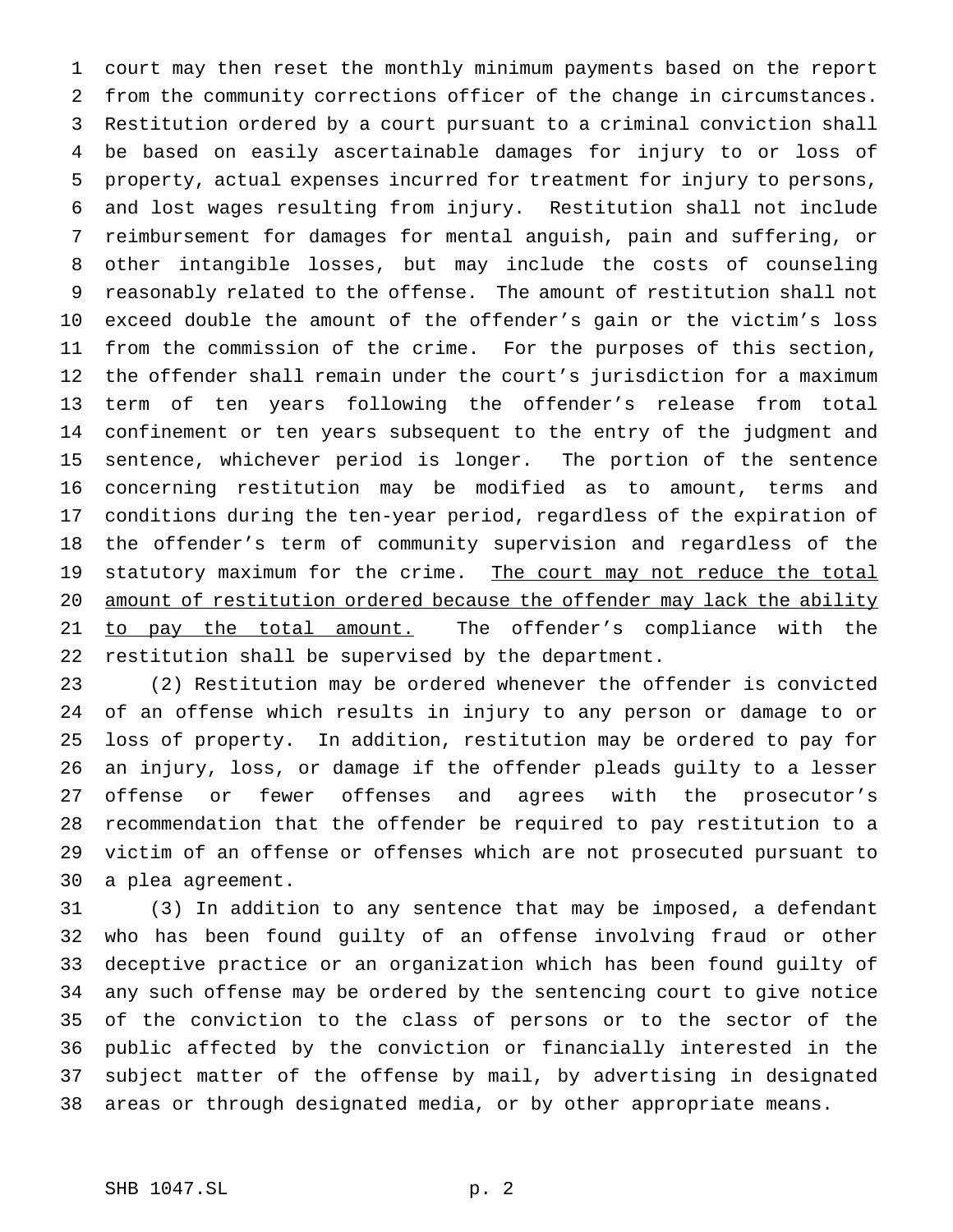court may then reset the monthly minimum payments based on the report from the community corrections officer of the change in circumstances. Restitution ordered by a court pursuant to a criminal conviction shall be based on easily ascertainable damages for injury to or loss of property, actual expenses incurred for treatment for injury to persons, and lost wages resulting from injury. Restitution shall not include reimbursement for damages for mental anguish, pain and suffering, or other intangible losses, but may include the costs of counseling reasonably related to the offense. The amount of restitution shall not exceed double the amount of the offender's gain or the victim's loss from the commission of the crime. For the purposes of this section, the offender shall remain under the court's jurisdiction for a maximum term of ten years following the offender's release from total confinement or ten years subsequent to the entry of the judgment and sentence, whichever period is longer. The portion of the sentence concerning restitution may be modified as to amount, terms and conditions during the ten-year period, regardless of the expiration of the offender's term of community supervision and regardless of the 19 statutory maximum for the crime. The court may not reduce the total 20 amount of restitution ordered because the offender may lack the ability 21 to pay the total amount. The offender's compliance with the restitution shall be supervised by the department.

 (2) Restitution may be ordered whenever the offender is convicted of an offense which results in injury to any person or damage to or loss of property. In addition, restitution may be ordered to pay for an injury, loss, or damage if the offender pleads guilty to a lesser offense or fewer offenses and agrees with the prosecutor's recommendation that the offender be required to pay restitution to a victim of an offense or offenses which are not prosecuted pursuant to a plea agreement.

 (3) In addition to any sentence that may be imposed, a defendant who has been found guilty of an offense involving fraud or other deceptive practice or an organization which has been found guilty of any such offense may be ordered by the sentencing court to give notice of the conviction to the class of persons or to the sector of the public affected by the conviction or financially interested in the subject matter of the offense by mail, by advertising in designated areas or through designated media, or by other appropriate means.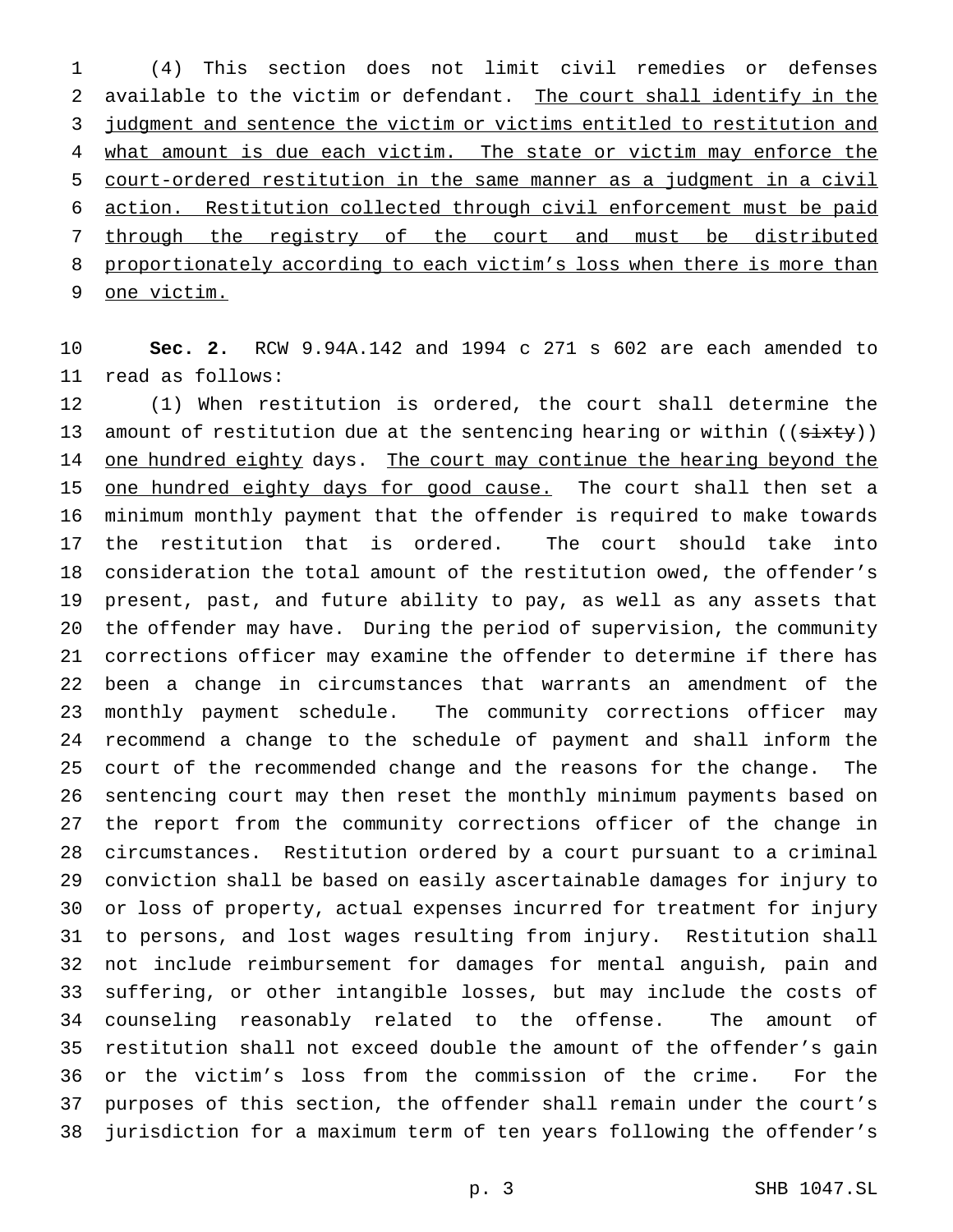(4) This section does not limit civil remedies or defenses available to the victim or defendant. The court shall identify in the 3 judgment and sentence the victim or victims entitled to restitution and 4 what amount is due each victim. The state or victim may enforce the court-ordered restitution in the same manner as a judgment in a civil action. Restitution collected through civil enforcement must be paid through the registry of the court and must be distributed 8 proportionately according to each victim's loss when there is more than one victim.

 **Sec. 2.** RCW 9.94A.142 and 1994 c 271 s 602 are each amended to read as follows:

 (1) When restitution is ordered, the court shall determine the 13 amount of restitution due at the sentencing hearing or within ((sixty)) 14 one hundred eighty days. The court may continue the hearing beyond the 15 one hundred eighty days for good cause. The court shall then set a minimum monthly payment that the offender is required to make towards the restitution that is ordered. The court should take into consideration the total amount of the restitution owed, the offender's present, past, and future ability to pay, as well as any assets that the offender may have. During the period of supervision, the community corrections officer may examine the offender to determine if there has been a change in circumstances that warrants an amendment of the monthly payment schedule. The community corrections officer may recommend a change to the schedule of payment and shall inform the court of the recommended change and the reasons for the change. The sentencing court may then reset the monthly minimum payments based on the report from the community corrections officer of the change in circumstances. Restitution ordered by a court pursuant to a criminal conviction shall be based on easily ascertainable damages for injury to or loss of property, actual expenses incurred for treatment for injury to persons, and lost wages resulting from injury. Restitution shall not include reimbursement for damages for mental anguish, pain and suffering, or other intangible losses, but may include the costs of counseling reasonably related to the offense. The amount of restitution shall not exceed double the amount of the offender's gain or the victim's loss from the commission of the crime. For the purposes of this section, the offender shall remain under the court's jurisdiction for a maximum term of ten years following the offender's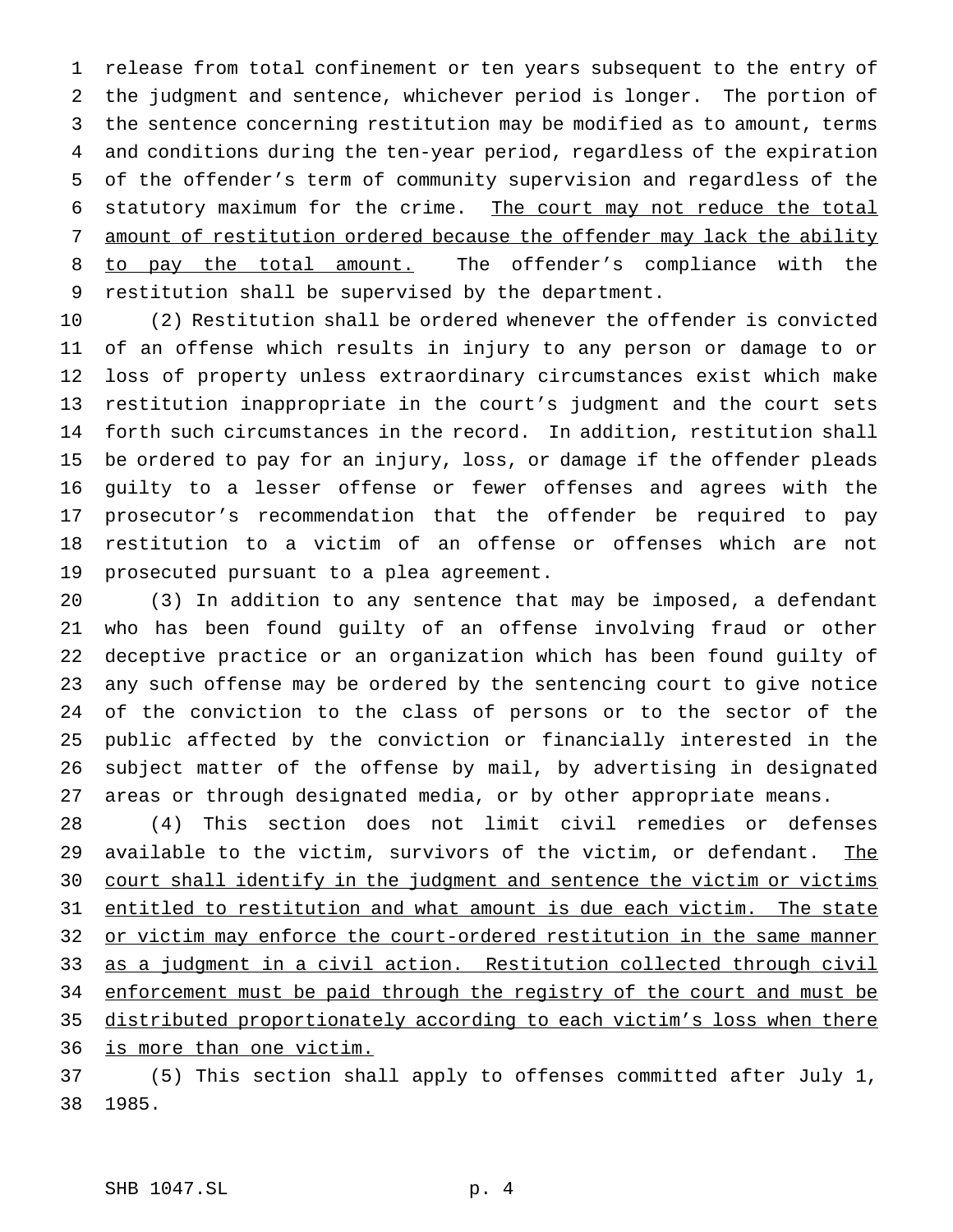release from total confinement or ten years subsequent to the entry of the judgment and sentence, whichever period is longer. The portion of the sentence concerning restitution may be modified as to amount, terms and conditions during the ten-year period, regardless of the expiration of the offender's term of community supervision and regardless of the 6 statutory maximum for the crime. The court may not reduce the total amount of restitution ordered because the offender may lack the ability 8 to pay the total amount. The offender's compliance with the restitution shall be supervised by the department.

 (2) Restitution shall be ordered whenever the offender is convicted of an offense which results in injury to any person or damage to or loss of property unless extraordinary circumstances exist which make restitution inappropriate in the court's judgment and the court sets forth such circumstances in the record. In addition, restitution shall be ordered to pay for an injury, loss, or damage if the offender pleads guilty to a lesser offense or fewer offenses and agrees with the prosecutor's recommendation that the offender be required to pay restitution to a victim of an offense or offenses which are not prosecuted pursuant to a plea agreement.

 (3) In addition to any sentence that may be imposed, a defendant who has been found guilty of an offense involving fraud or other deceptive practice or an organization which has been found guilty of any such offense may be ordered by the sentencing court to give notice of the conviction to the class of persons or to the sector of the public affected by the conviction or financially interested in the subject matter of the offense by mail, by advertising in designated areas or through designated media, or by other appropriate means.

 (4) This section does not limit civil remedies or defenses 29 available to the victim, survivors of the victim, or defendant. The 30 court shall identify in the judgment and sentence the victim or victims entitled to restitution and what amount is due each victim. The state 32 or victim may enforce the court-ordered restitution in the same manner as a judgment in a civil action. Restitution collected through civil 34 enforcement must be paid through the registry of the court and must be 35 distributed proportionately according to each victim's loss when there is more than one victim.

 (5) This section shall apply to offenses committed after July 1, 1985.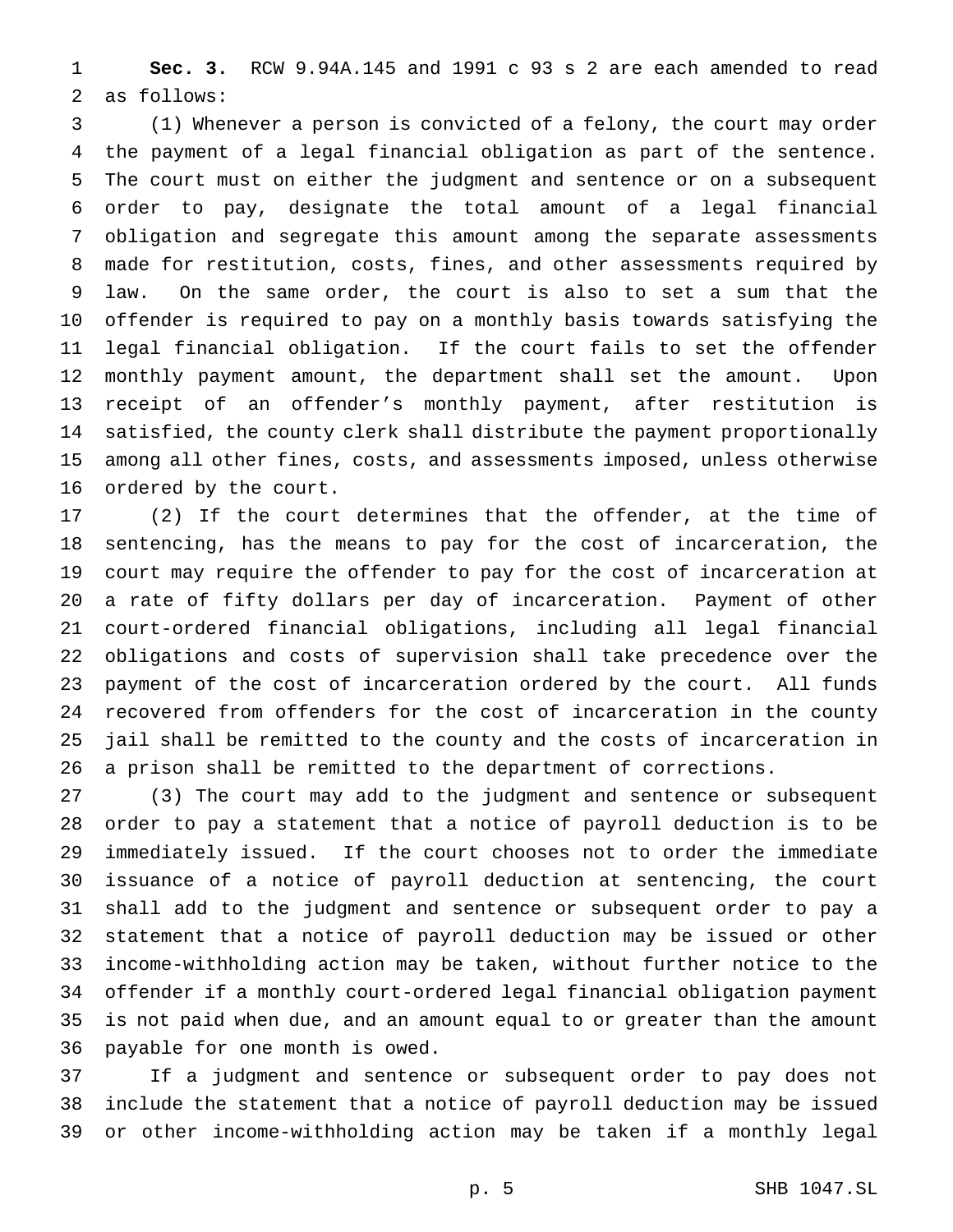**Sec. 3.** RCW 9.94A.145 and 1991 c 93 s 2 are each amended to read as follows:

 (1) Whenever a person is convicted of a felony, the court may order the payment of a legal financial obligation as part of the sentence. The court must on either the judgment and sentence or on a subsequent order to pay, designate the total amount of a legal financial obligation and segregate this amount among the separate assessments made for restitution, costs, fines, and other assessments required by law. On the same order, the court is also to set a sum that the offender is required to pay on a monthly basis towards satisfying the legal financial obligation. If the court fails to set the offender monthly payment amount, the department shall set the amount. Upon receipt of an offender's monthly payment, after restitution is satisfied, the county clerk shall distribute the payment proportionally among all other fines, costs, and assessments imposed, unless otherwise ordered by the court.

 (2) If the court determines that the offender, at the time of sentencing, has the means to pay for the cost of incarceration, the court may require the offender to pay for the cost of incarceration at a rate of fifty dollars per day of incarceration. Payment of other court-ordered financial obligations, including all legal financial obligations and costs of supervision shall take precedence over the payment of the cost of incarceration ordered by the court. All funds recovered from offenders for the cost of incarceration in the county jail shall be remitted to the county and the costs of incarceration in a prison shall be remitted to the department of corrections.

 (3) The court may add to the judgment and sentence or subsequent order to pay a statement that a notice of payroll deduction is to be immediately issued. If the court chooses not to order the immediate issuance of a notice of payroll deduction at sentencing, the court shall add to the judgment and sentence or subsequent order to pay a statement that a notice of payroll deduction may be issued or other income-withholding action may be taken, without further notice to the offender if a monthly court-ordered legal financial obligation payment is not paid when due, and an amount equal to or greater than the amount payable for one month is owed.

 If a judgment and sentence or subsequent order to pay does not include the statement that a notice of payroll deduction may be issued or other income-withholding action may be taken if a monthly legal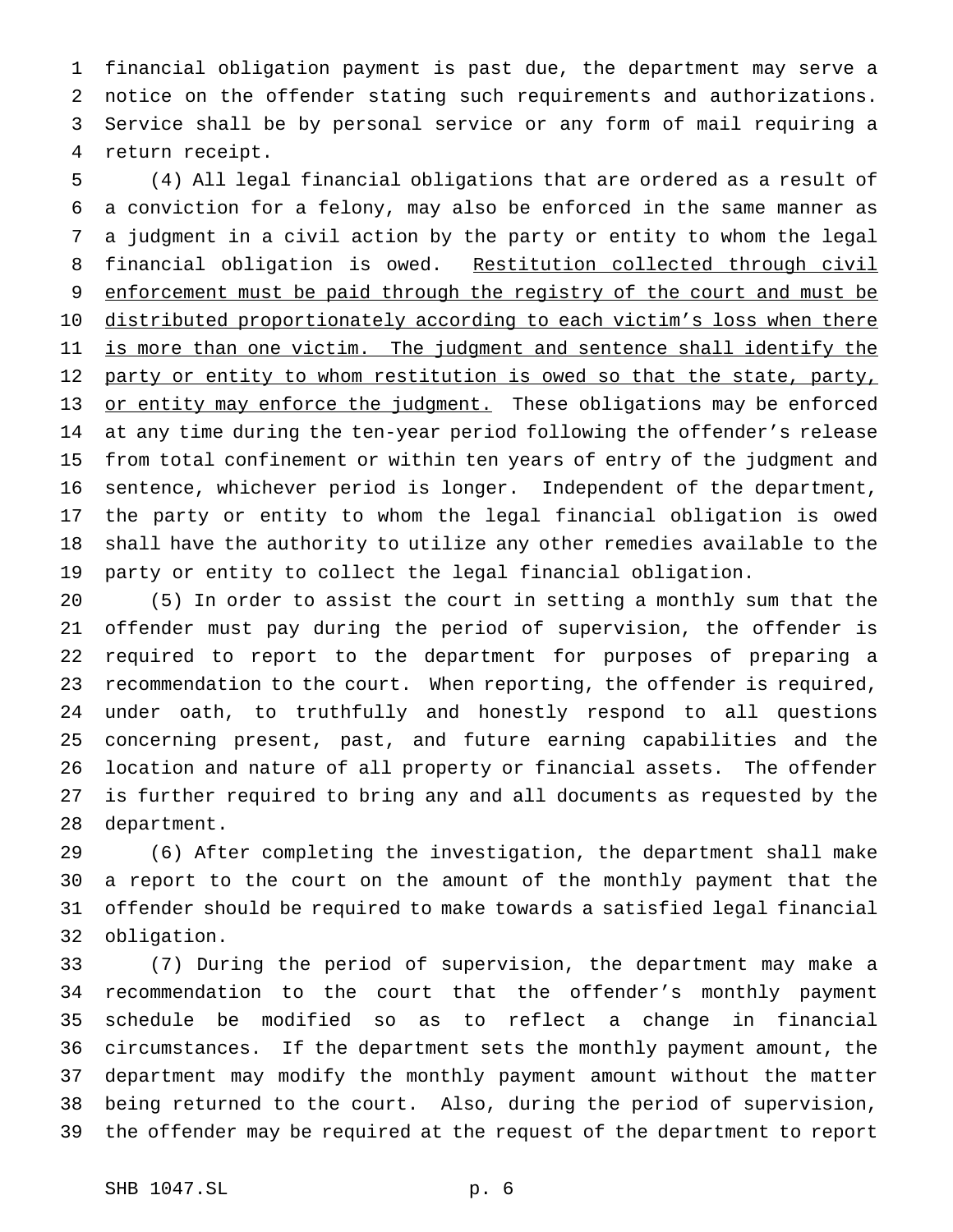financial obligation payment is past due, the department may serve a notice on the offender stating such requirements and authorizations. Service shall be by personal service or any form of mail requiring a return receipt.

 (4) All legal financial obligations that are ordered as a result of a conviction for a felony, may also be enforced in the same manner as a judgment in a civil action by the party or entity to whom the legal 8 financial obligation is owed. Restitution collected through civil 9 enforcement must be paid through the registry of the court and must be 10 distributed proportionately according to each victim's loss when there 11 is more than one victim. The judgment and sentence shall identify the 12 party or entity to whom restitution is owed so that the state, party, 13 or entity may enforce the judgment. These obligations may be enforced at any time during the ten-year period following the offender's release from total confinement or within ten years of entry of the judgment and sentence, whichever period is longer. Independent of the department, the party or entity to whom the legal financial obligation is owed shall have the authority to utilize any other remedies available to the party or entity to collect the legal financial obligation.

 (5) In order to assist the court in setting a monthly sum that the offender must pay during the period of supervision, the offender is required to report to the department for purposes of preparing a recommendation to the court. When reporting, the offender is required, under oath, to truthfully and honestly respond to all questions concerning present, past, and future earning capabilities and the location and nature of all property or financial assets. The offender is further required to bring any and all documents as requested by the department.

 (6) After completing the investigation, the department shall make a report to the court on the amount of the monthly payment that the offender should be required to make towards a satisfied legal financial obligation.

 (7) During the period of supervision, the department may make a recommendation to the court that the offender's monthly payment schedule be modified so as to reflect a change in financial circumstances. If the department sets the monthly payment amount, the department may modify the monthly payment amount without the matter being returned to the court. Also, during the period of supervision, the offender may be required at the request of the department to report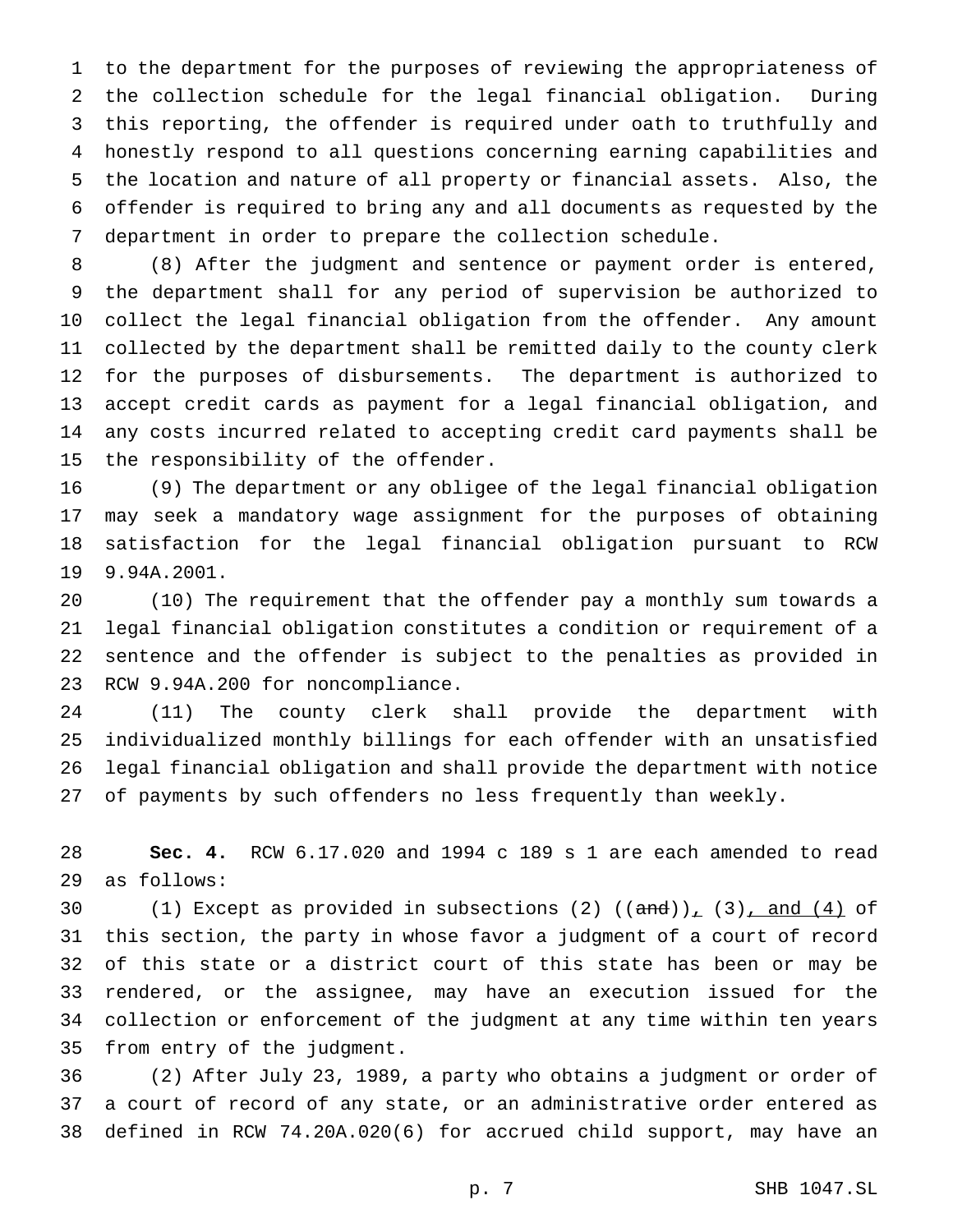to the department for the purposes of reviewing the appropriateness of the collection schedule for the legal financial obligation. During this reporting, the offender is required under oath to truthfully and honestly respond to all questions concerning earning capabilities and the location and nature of all property or financial assets. Also, the offender is required to bring any and all documents as requested by the department in order to prepare the collection schedule.

 (8) After the judgment and sentence or payment order is entered, the department shall for any period of supervision be authorized to collect the legal financial obligation from the offender. Any amount collected by the department shall be remitted daily to the county clerk for the purposes of disbursements. The department is authorized to accept credit cards as payment for a legal financial obligation, and any costs incurred related to accepting credit card payments shall be the responsibility of the offender.

 (9) The department or any obligee of the legal financial obligation may seek a mandatory wage assignment for the purposes of obtaining satisfaction for the legal financial obligation pursuant to RCW 9.94A.2001.

 (10) The requirement that the offender pay a monthly sum towards a legal financial obligation constitutes a condition or requirement of a sentence and the offender is subject to the penalties as provided in RCW 9.94A.200 for noncompliance.

 (11) The county clerk shall provide the department with individualized monthly billings for each offender with an unsatisfied legal financial obligation and shall provide the department with notice of payments by such offenders no less frequently than weekly.

 **Sec. 4.** RCW 6.17.020 and 1994 c 189 s 1 are each amended to read as follows:

30 (1) Except as provided in subsections (2)  $((and))_1$  (3), and (4) of this section, the party in whose favor a judgment of a court of record of this state or a district court of this state has been or may be rendered, or the assignee, may have an execution issued for the collection or enforcement of the judgment at any time within ten years from entry of the judgment.

 (2) After July 23, 1989, a party who obtains a judgment or order of a court of record of any state, or an administrative order entered as defined in RCW 74.20A.020(6) for accrued child support, may have an